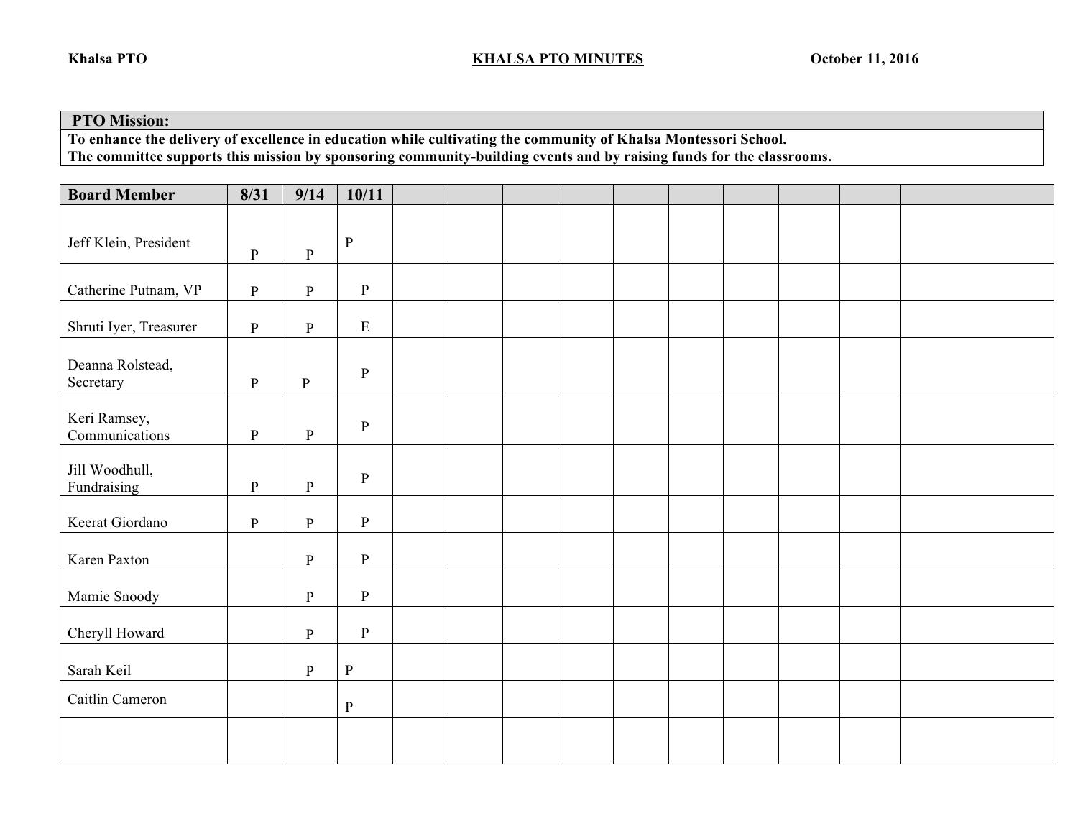## **PTO Mission:**

**To enhance the delivery of excellence in education while cultivating the community of Khalsa Montessori School. The committee supports this mission by sponsoring community-building events and by raising funds for the classrooms.** 

| <b>Board Member</b>            | 8/31         | 9/14         | 10/11        |  |  |  |  |  |
|--------------------------------|--------------|--------------|--------------|--|--|--|--|--|
|                                |              |              | $\, {\bf P}$ |  |  |  |  |  |
| Jeff Klein, President          | $\, {\bf P}$ | $\, {\bf P}$ |              |  |  |  |  |  |
| Catherine Putnam, VP           | $\, {\bf P}$ | $\, {\bf P}$ | ${\bf P}$    |  |  |  |  |  |
| Shruti Iyer, Treasurer         | $\, {\bf P}$ | $\, {\bf P}$ | ${\bf E}$    |  |  |  |  |  |
| Deanna Rolstead,<br>Secretary  | $\, {\bf P}$ | $\mathbf{P}$ | ${\bf P}$    |  |  |  |  |  |
| Keri Ramsey,<br>Communications | $\, {\bf P}$ | $\, {\bf P}$ | $\, {\bf p}$ |  |  |  |  |  |
| Jill Woodhull,<br>Fundraising  | $\, {\bf p}$ | $\, {\bf P}$ | ${\bf P}$    |  |  |  |  |  |
| Keerat Giordano                | $\, {\bf p}$ | $\, {\bf P}$ | $\, {\bf p}$ |  |  |  |  |  |
| Karen Paxton                   |              | $\mathbf{P}$ | ${\bf P}$    |  |  |  |  |  |
| Mamie Snoody                   |              | $\, {\bf P}$ | ${\bf P}$    |  |  |  |  |  |
| Cheryll Howard                 |              | $\, {\bf P}$ | $\, {\bf p}$ |  |  |  |  |  |
| Sarah Keil                     |              | $\, {\bf P}$ | $\, {\bf P}$ |  |  |  |  |  |
| Caitlin Cameron                |              |              | ${\bf P}$    |  |  |  |  |  |
|                                |              |              |              |  |  |  |  |  |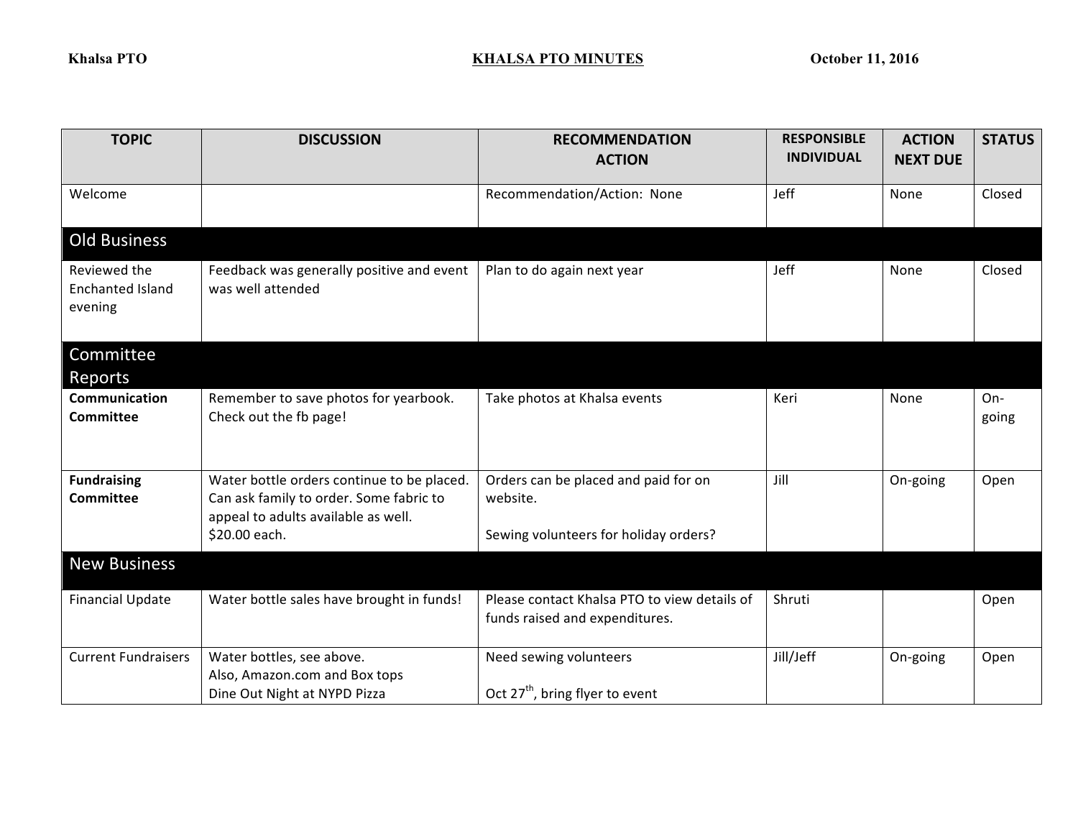| <b>TOPIC</b>                                | <b>DISCUSSION</b>                                                                                                                             | <b>RECOMMENDATION</b><br><b>ACTION</b>                                                    | <b>RESPONSIBLE</b><br><b>INDIVIDUAL</b> | <b>ACTION</b><br><b>NEXT DUE</b> | <b>STATUS</b> |
|---------------------------------------------|-----------------------------------------------------------------------------------------------------------------------------------------------|-------------------------------------------------------------------------------------------|-----------------------------------------|----------------------------------|---------------|
| Welcome                                     |                                                                                                                                               | Recommendation/Action: None                                                               | Jeff                                    | None                             | Closed        |
| <b>Old Business</b>                         |                                                                                                                                               |                                                                                           |                                         |                                  |               |
| Reviewed the<br>Enchanted Island<br>evening | Feedback was generally positive and event<br>was well attended                                                                                | Plan to do again next year                                                                | Jeff                                    | None                             | Closed        |
| Committee<br>Reports                        |                                                                                                                                               |                                                                                           |                                         |                                  |               |
| Communication<br><b>Committee</b>           | Remember to save photos for yearbook.<br>Check out the fb page!                                                                               | Take photos at Khalsa events                                                              | Keri                                    | None                             | On-<br>going  |
| <b>Fundraising</b><br>Committee             | Water bottle orders continue to be placed.<br>Can ask family to order. Some fabric to<br>appeal to adults available as well.<br>\$20.00 each. | Orders can be placed and paid for on<br>website.<br>Sewing volunteers for holiday orders? | Jill                                    | On-going                         | Open          |
| <b>New Business</b>                         |                                                                                                                                               |                                                                                           |                                         |                                  |               |
| <b>Financial Update</b>                     | Water bottle sales have brought in funds!                                                                                                     | Please contact Khalsa PTO to view details of<br>funds raised and expenditures.            | Shruti                                  |                                  | Open          |
| <b>Current Fundraisers</b>                  | Water bottles, see above.<br>Also, Amazon.com and Box tops<br>Dine Out Night at NYPD Pizza                                                    | Need sewing volunteers<br>Oct 27 <sup>th</sup> , bring flyer to event                     | Jill/Jeff                               | On-going                         | Open          |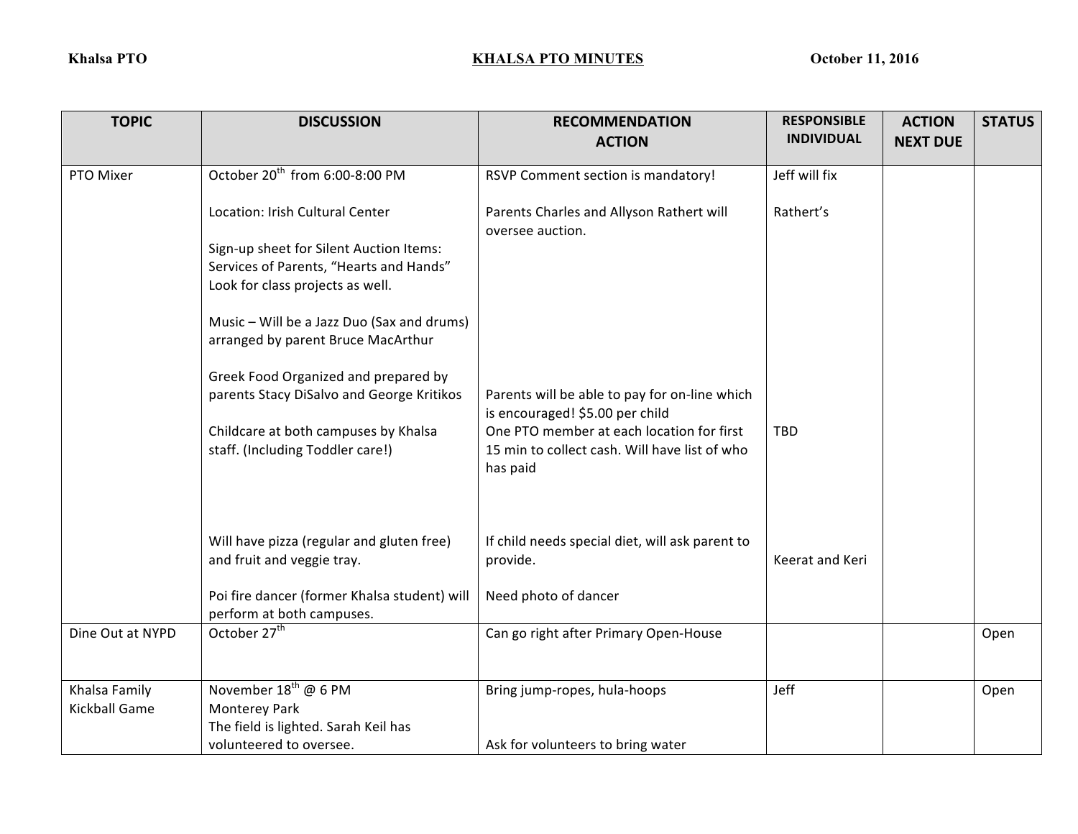| <b>TOPIC</b>         | <b>DISCUSSION</b>                                                         | <b>RECOMMENDATION</b><br><b>ACTION</b>                                           | <b>RESPONSIBLE</b><br><b>INDIVIDUAL</b> | <b>ACTION</b><br><b>NEXT DUE</b> | <b>STATUS</b> |
|----------------------|---------------------------------------------------------------------------|----------------------------------------------------------------------------------|-----------------------------------------|----------------------------------|---------------|
| PTO Mixer            | October 20 <sup>th</sup> from 6:00-8:00 PM                                | RSVP Comment section is mandatory!                                               | Jeff will fix                           |                                  |               |
|                      |                                                                           |                                                                                  |                                         |                                  |               |
|                      | Location: Irish Cultural Center                                           | Parents Charles and Allyson Rathert will<br>oversee auction.                     | Rathert's                               |                                  |               |
|                      | Sign-up sheet for Silent Auction Items:                                   |                                                                                  |                                         |                                  |               |
|                      | Services of Parents, "Hearts and Hands"                                   |                                                                                  |                                         |                                  |               |
|                      | Look for class projects as well.                                          |                                                                                  |                                         |                                  |               |
|                      | Music - Will be a Jazz Duo (Sax and drums)                                |                                                                                  |                                         |                                  |               |
|                      | arranged by parent Bruce MacArthur                                        |                                                                                  |                                         |                                  |               |
|                      | Greek Food Organized and prepared by                                      |                                                                                  |                                         |                                  |               |
|                      | parents Stacy DiSalvo and George Kritikos                                 | Parents will be able to pay for on-line which<br>is encouraged! \$5.00 per child |                                         |                                  |               |
|                      | Childcare at both campuses by Khalsa                                      | One PTO member at each location for first                                        | <b>TBD</b>                              |                                  |               |
|                      | staff. (Including Toddler care!)                                          | 15 min to collect cash. Will have list of who<br>has paid                        |                                         |                                  |               |
|                      |                                                                           |                                                                                  |                                         |                                  |               |
|                      | Will have pizza (regular and gluten free)                                 | If child needs special diet, will ask parent to                                  |                                         |                                  |               |
|                      | and fruit and veggie tray.                                                | provide.                                                                         | Keerat and Keri                         |                                  |               |
|                      | Poi fire dancer (former Khalsa student) will<br>perform at both campuses. | Need photo of dancer                                                             |                                         |                                  |               |
| Dine Out at NYPD     | October 27 <sup>th</sup>                                                  | Can go right after Primary Open-House                                            |                                         |                                  | Open          |
|                      |                                                                           |                                                                                  |                                         |                                  |               |
| Khalsa Family        | November 18 <sup>th</sup> @ 6 PM                                          | Bring jump-ropes, hula-hoops                                                     | Jeff                                    |                                  | Open          |
| <b>Kickball Game</b> | Monterey Park                                                             |                                                                                  |                                         |                                  |               |
|                      | The field is lighted. Sarah Keil has                                      |                                                                                  |                                         |                                  |               |
|                      | volunteered to oversee.                                                   | Ask for volunteers to bring water                                                |                                         |                                  |               |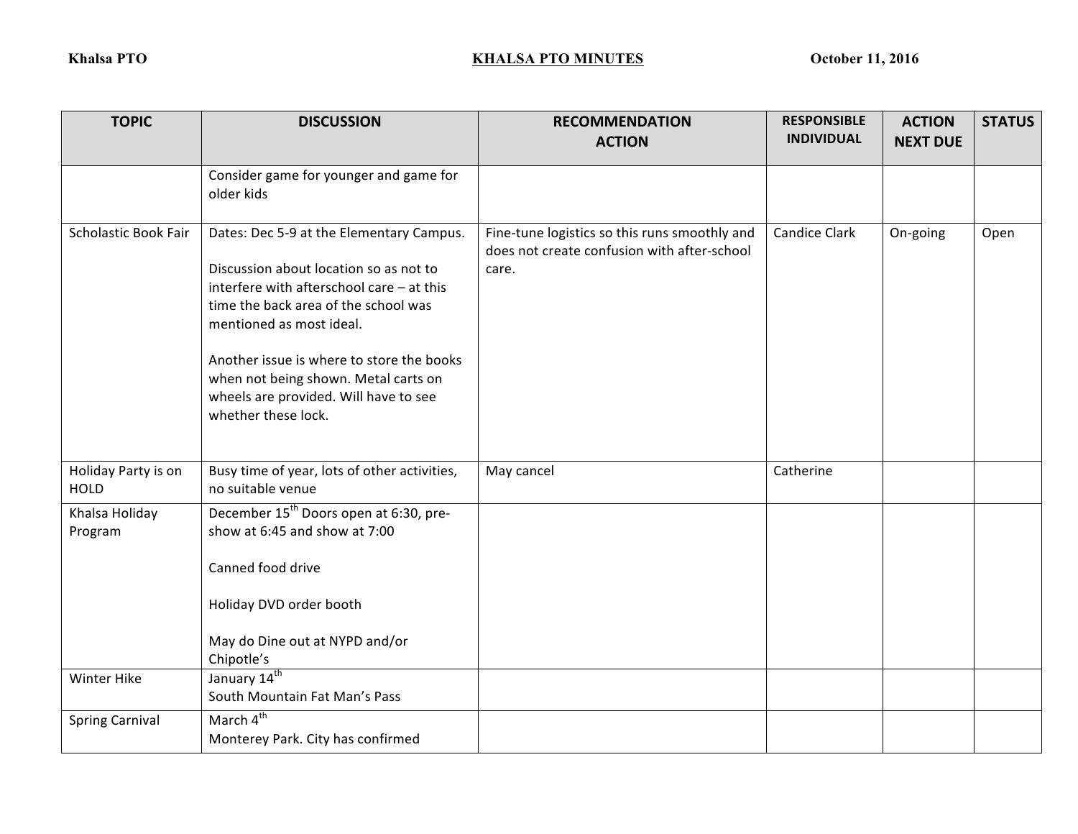| <b>TOPIC</b>                       | <b>DISCUSSION</b>                                                                                                                                                                                                                                                                                                                                        | <b>RECOMMENDATION</b><br><b>ACTION</b>                                                                | <b>RESPONSIBLE</b><br><b>INDIVIDUAL</b> | <b>ACTION</b><br><b>NEXT DUE</b> | <b>STATUS</b> |
|------------------------------------|----------------------------------------------------------------------------------------------------------------------------------------------------------------------------------------------------------------------------------------------------------------------------------------------------------------------------------------------------------|-------------------------------------------------------------------------------------------------------|-----------------------------------------|----------------------------------|---------------|
|                                    | Consider game for younger and game for<br>older kids                                                                                                                                                                                                                                                                                                     |                                                                                                       |                                         |                                  |               |
| <b>Scholastic Book Fair</b>        | Dates: Dec 5-9 at the Elementary Campus.<br>Discussion about location so as not to<br>interfere with afterschool care - at this<br>time the back area of the school was<br>mentioned as most ideal.<br>Another issue is where to store the books<br>when not being shown. Metal carts on<br>wheels are provided. Will have to see<br>whether these lock. | Fine-tune logistics so this runs smoothly and<br>does not create confusion with after-school<br>care. | <b>Candice Clark</b>                    | On-going                         | Open          |
| Holiday Party is on<br><b>HOLD</b> | Busy time of year, lots of other activities,<br>no suitable venue                                                                                                                                                                                                                                                                                        | May cancel                                                                                            | Catherine                               |                                  |               |
| Khalsa Holiday<br>Program          | December 15 <sup>th</sup> Doors open at 6:30, pre-<br>show at 6:45 and show at 7:00<br>Canned food drive<br>Holiday DVD order booth<br>May do Dine out at NYPD and/or<br>Chipotle's                                                                                                                                                                      |                                                                                                       |                                         |                                  |               |
| Winter Hike                        | January 14 <sup>th</sup><br>South Mountain Fat Man's Pass                                                                                                                                                                                                                                                                                                |                                                                                                       |                                         |                                  |               |
| <b>Spring Carnival</b>             | March 4 <sup>th</sup><br>Monterey Park. City has confirmed                                                                                                                                                                                                                                                                                               |                                                                                                       |                                         |                                  |               |